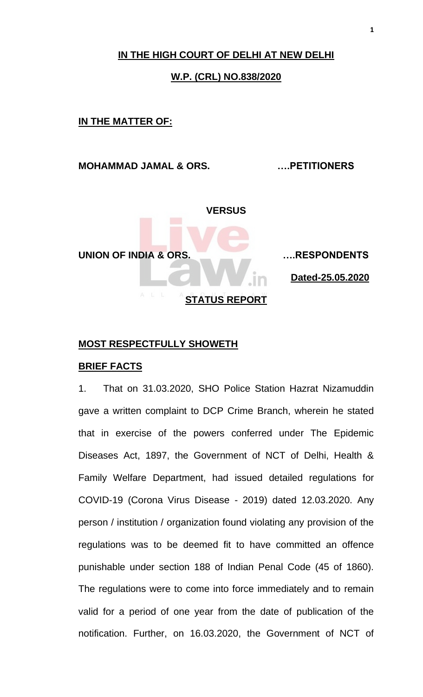# **IN THE HIGH COURT OF DELHI AT NEW DELHI**

#### **W.P. (CRL) NO.838/2020**

#### **IN THE MATTER OF:**

## **MOHAMMAD JAMAL & ORS. ….PETITIONERS**



#### **MOST RESPECTFULLY SHOWETH**

## **BRIEF FACTS**

1. That on 31.03.2020, SHO Police Station Hazrat Nizamuddin gave a written complaint to DCP Crime Branch, wherein he stated that in exercise of the powers conferred under The Epidemic Diseases Act, 1897, the Government of NCT of Delhi, Health & Family Welfare Department, had issued detailed regulations for COVID-19 (Corona Virus Disease - 2019) dated 12.03.2020. Any person / institution / organization found violating any provision of the regulations was to be deemed fit to have committed an offence punishable under section 188 of Indian Penal Code (45 of 1860). The regulations were to come into force immediately and to remain valid for a period of one year from the date of publication of the notification. Further, on 16.03.2020, the Government of NCT of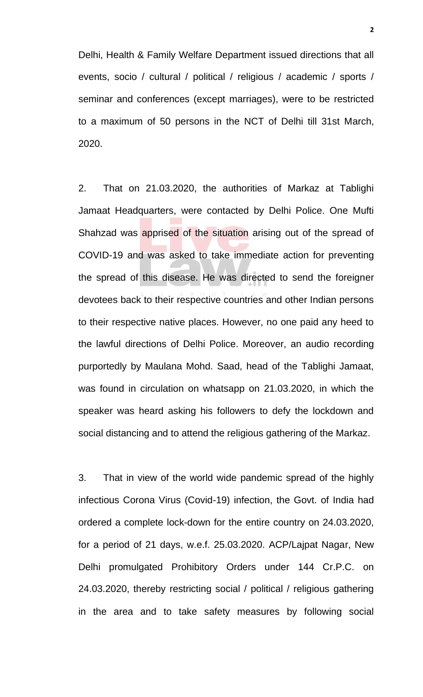Delhi, Health & Family Welfare Department issued directions that all events, socio / cultural / political / religious / academic / sports / seminar and conferences (except marriages), were to be restricted to a maximum of 50 persons in the NCT of Delhi till 31st March, 2020.

2. That on 21.03.2020, the authorities of Markaz at Tablighi Jamaat Headquarters, were contacted by Delhi Police. One Mufti Shahzad was apprised of the situation arising out of the spread of COVID-19 and was asked to take immediate action for preventing the spread of this disease. He was directed to send the foreigner devotees back to their respective countries and other Indian persons to their respective native places. However, no one paid any heed to the lawful directions of Delhi Police. Moreover, an audio recording purportedly by Maulana Mohd. Saad, head of the Tablighi Jamaat, was found in circulation on whatsapp on 21.03.2020, in which the speaker was heard asking his followers to defy the lockdown and social distancing and to attend the religious gathering of the Markaz.

3. That in view of the world wide pandemic spread of the highly infectious Corona Virus (Covid-19) infection, the Govt. of India had ordered a complete lock-down for the entire country on 24.03.2020, for a period of 21 days, w.e.f. 25.03.2020. ACP/Lajpat Nagar, New Delhi promulgated Prohibitory Orders under 144 Cr.P.C. on 24.03.2020, thereby restricting social / political / religious gathering in the area and to take safety measures by following social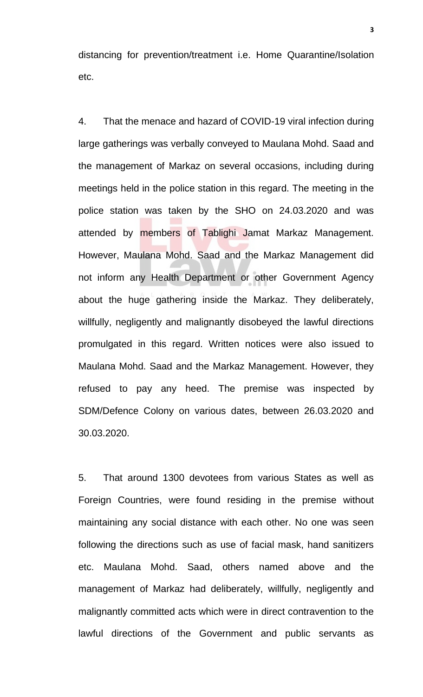distancing for prevention/treatment i.e. Home Quarantine/Isolation etc.

4. That the menace and hazard of COVID-19 viral infection during large gatherings was verbally conveyed to Maulana Mohd. Saad and the management of Markaz on several occasions, including during meetings held in the police station in this regard. The meeting in the police station was taken by the SHO on 24.03.2020 and was attended by members of Tablighi Jamat Markaz Management. However, Maulana Mohd. Saad and the Markaz Management did not inform any Health Department or other Government Agency about the huge gathering inside the Markaz. They deliberately, willfully, negligently and malignantly disobeyed the lawful directions promulgated in this regard. Written notices were also issued to Maulana Mohd. Saad and the Markaz Management. However, they refused to pay any heed. The premise was inspected by SDM/Defence Colony on various dates, between 26.03.2020 and 30.03.2020.

5. That around 1300 devotees from various States as well as Foreign Countries, were found residing in the premise without maintaining any social distance with each other. No one was seen following the directions such as use of facial mask, hand sanitizers etc. Maulana Mohd. Saad, others named above and the management of Markaz had deliberately, willfully, negligently and malignantly committed acts which were in direct contravention to the lawful directions of the Government and public servants as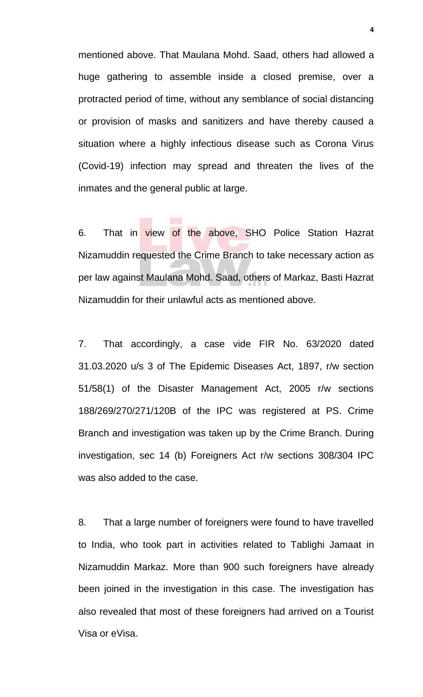mentioned above. That Maulana Mohd. Saad, others had allowed a huge gathering to assemble inside a closed premise, over a protracted period of time, without any semblance of social distancing or provision of masks and sanitizers and have thereby caused a situation where a highly infectious disease such as Corona Virus (Covid-19) infection may spread and threaten the lives of the inmates and the general public at large.

6. That in view of the above, SHO Police Station Hazrat Nizamuddin requested the Crime Branch to take necessary action as per law against Maulana Mohd. Saad, others of Markaz, Basti Hazrat Nizamuddin for their unlawful acts as mentioned above.

7. That accordingly, a case vide FIR No. 63/2020 dated 31.03.2020 u/s 3 of The Epidemic Diseases Act, 1897, r/w section 51/58(1) of the Disaster Management Act, 2005 r/w sections 188/269/270/271/120B of the IPC was registered at PS. Crime Branch and investigation was taken up by the Crime Branch. During investigation, sec 14 (b) Foreigners Act r/w sections 308/304 IPC was also added to the case.

8. That a large number of foreigners were found to have travelled to India, who took part in activities related to Tablighi Jamaat in Nizamuddin Markaz. More than 900 such foreigners have already been joined in the investigation in this case. The investigation has also revealed that most of these foreigners had arrived on a Tourist Visa or eVisa.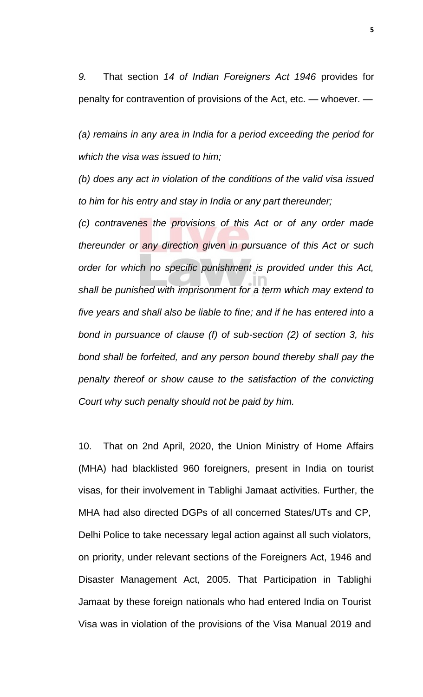*9.* That section *14 of Indian Foreigners Act 1946* provides for penalty for contravention of provisions of the Act, etc. — whoever. —

*(a) remains in any area in India for a period exceeding the period for which the visa was issued to him;* 

*(b) does any act in violation of the conditions of the valid visa issued to him for his entry and stay in India or any part thereunder;* 

*(c) contravenes the provisions of this Act or of any order made thereunder or any direction given in pursuance of this Act or such order for which no specific punishment is provided under this Act, shall be punished with imprisonment for a term which may extend to five years and shall also be liable to fine; and if he has entered into a bond in pursuance of clause (f) of sub-section (2) of section 3, his bond shall be forfeited, and any person bound thereby shall pay the penalty thereof or show cause to the satisfaction of the convicting Court why such penalty should not be paid by him.*

10. That on 2nd April, 2020, the Union Ministry of Home Affairs (MHA) had blacklisted 960 foreigners, present in India on tourist visas, for their involvement in Tablighi Jamaat activities. Further, the MHA had also directed DGPs of all concerned States/UTs and CP, Delhi Police to take necessary legal action against all such violators, on priority, under relevant sections of the Foreigners Act, 1946 and Disaster Management Act, 2005. That Participation in Tablighi Jamaat by these foreign nationals who had entered India on Tourist Visa was in violation of the provisions of the Visa Manual 2019 and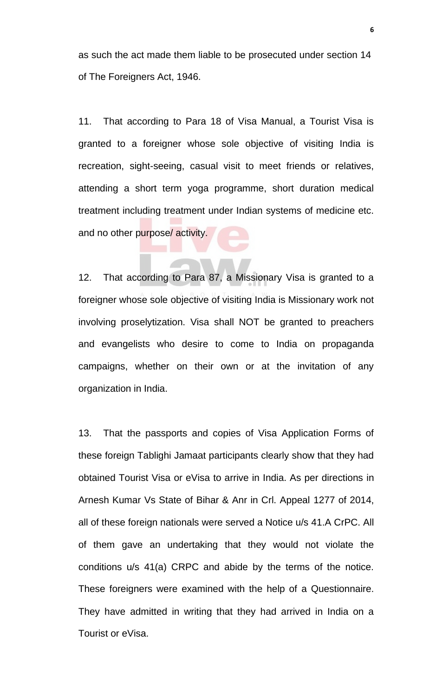as such the act made them liable to be prosecuted under section 14 of The Foreigners Act, 1946.

11. That according to Para 18 of Visa Manual, a Tourist Visa is granted to a foreigner whose sole objective of visiting India is recreation, sight-seeing, casual visit to meet friends or relatives, attending a short term yoga programme, short duration medical treatment including treatment under Indian systems of medicine etc. and no other purpose/ activity.

12. That according to Para 87, a Missionary Visa is granted to a foreigner whose sole objective of visiting India is Missionary work not involving proselytization. Visa shall NOT be granted to preachers and evangelists who desire to come to India on propaganda campaigns, whether on their own or at the invitation of any organization in India.

13. That the passports and copies of Visa Application Forms of these foreign Tablighi Jamaat participants clearly show that they had obtained Tourist Visa or eVisa to arrive in India. As per directions in Arnesh Kumar Vs State of Bihar & Anr in Crl. Appeal 1277 of 2014, all of these foreign nationals were served a Notice u/s 41.A CrPC. All of them gave an undertaking that they would not violate the conditions u/s 41(a) CRPC and abide by the terms of the notice. These foreigners were examined with the help of a Questionnaire. They have admitted in writing that they had arrived in India on a Tourist or eVisa.